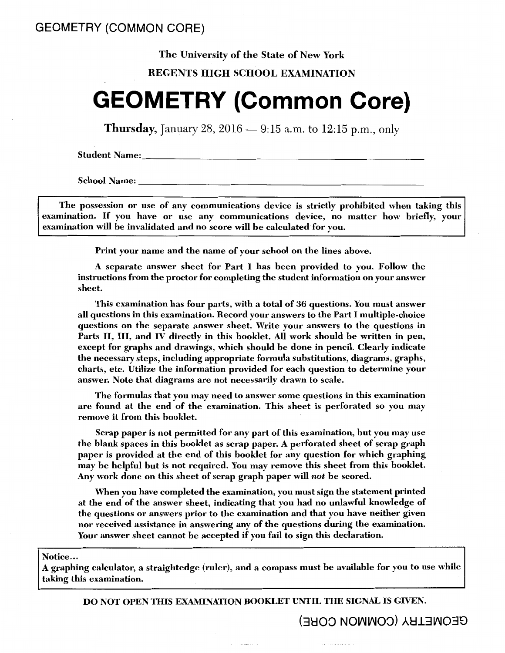# The University of the State of New York

# REGENTS HIGH SCHOOL EXAMINATION

# **GEOMETRY (Common Core)**

**Thursday,** January 28, 2016  $-$  9:15 a.m. to 12:15 p.m., only

**Student Name:** 

**School Name:** 

The possession or use of any communications device is strictly prohibited when taking this examination. If you have or use any communications device, no matter how briefly, your examination will be invalidated and no score will be calculated for you.

Print your name and the name of your school on the lines above.

A separate answer sheet for Part I has been provided to you. Follow the instructions from the proctor for completing the student information on your answer sheet.

This examination has four parts, with a total of 36 questions. You must answer all questions in this examination. Record your answers to the Part I multiple-choice questions on the separate answer sheet. Write your answers to the questions in Parts II, III, and IV directly in this booklet. All work should be written in pen, except for graphs and drawings, which should be done in pencil. Clearly indicate the necessary steps, including appropriate formula substitutions, diagrams, graphs, charts, etc. Utilize the information provided for each question to determine your answer. Note that diagrams are not necessarily drawn to scale.

The formulas that you may need to answer some questions in this examination are found at the end of the examination. This sheet is perforated so you may remove it from this booklet.

Scrap paper is not permitted for any part of this examination, but you may use the blank spaces in this booklet as scrap paper. A perforated sheet of scrap graph paper is provided at the end of this booklet for any question for which graphing may be helpful but is not required. You may remove this sheet from this booklet. Any work done on this sheet of scrap graph paper will *not* be scored.

When you have completed the examination, you must sign the statement printed at the end of the answer sheet, indicating that you had no unlawful knowledge of the questions or answers prior to the examination and that you have neither given nor received assistance in answering any of the questions during the examination. Your answer sheet cannot be accepted if you fail to sign this declaration.

#### Notice...

A graphing calculator, a straightedge (ruler), and a compass must be available for you to use while taking this examination.

DO NOT OPEN THIS EXAMINATION BOOKLET UNTIL THE SIGNAL IS GIVEN.

GEOMELHA (COMMON COHF)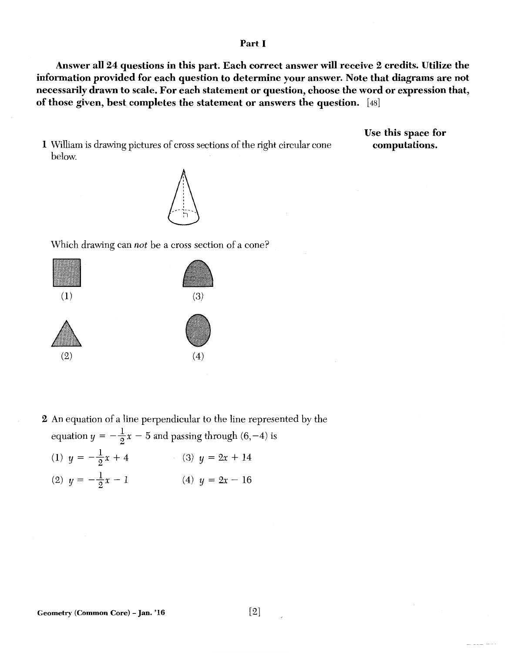#### Part I

Answer all 24 questions in this part. Each correct answer will receive 2 credits. Utilize the information provided for each question to determine your answer. Note that diagrams are not necessarily drawn to scale. For each statement or question, choose the word or expression that, of those given, best completes the statement or answers the question. [ 48]

1 William is drawing pictures of cross sections of the right circular cone below.

Use this space for computations.



Which drawing can *not* be a cross section of a cone?



2 An equation of a line perpendicular to the line represented by the equation  $y = -\frac{1}{2}x - 5$  and passing through (6, -4) is (1)  $y = -\frac{1}{2}x + 4$  (3)  $y = 2x + 14$ 

(2)  $y = -\frac{1}{2}x - 1$ (4)  $y = 2x - 16$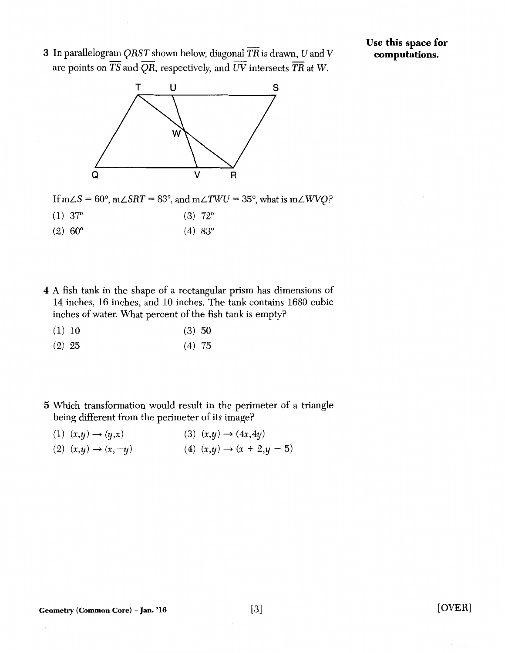3 In parallelogram *QRST* shown below, diagonal *TR* is drawn, *U* and *V*  are points on *TS* and *QR,* respectively, and *UV* intersects *TR* at W.

Use this space for computations.



- If  $m\angle S = 60^\circ$ ,  $m\angle SRT = 83^\circ$ , and  $m\angle TWU = 35^\circ$ , what is  $m\angle WVQ$ <sup>p</sup> (1) 37° (3) 72° (2)  $60^{\circ}$  (4)  $83^{\circ}$
- 4 A fish tank in the shape of a rectangular prism has dimensions of 14 inches, 16 inches, and 10 inches. The tank contains 1680 cubic inches of water. What percent of the fish tank is empty?
	- (1) 10 (3) 50
	- (2) 25 (4) 75

5 Which transformation would result in the perimeter of a triangle being different from the perimeter of its image?

(1)  $(x,y) \to (y,x)$  (3)  $(x,y) \to (4x,4y)$ (2)  $(x,y) \rightarrow (x, -y)$  (4)  $(x,y) \rightarrow (x + 2, y - 5)$ 

# [OVER]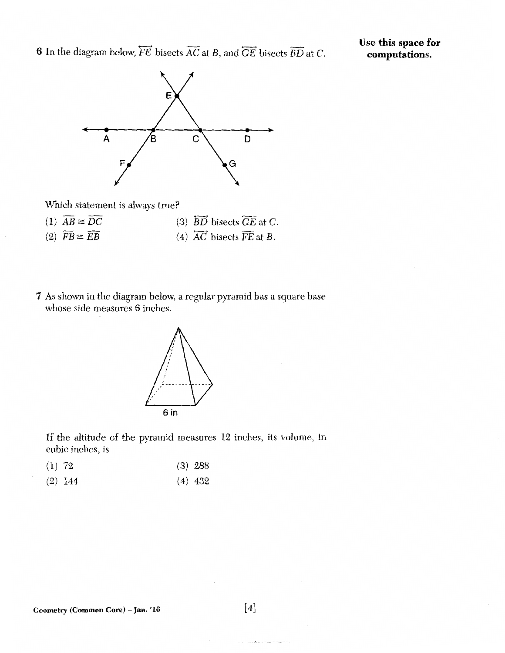6 In the diagram below,  $\overleftrightarrow{FE}$  bisects  $\overrightarrow{AC}$  at B, and  $\overleftrightarrow{GE}$  bisects  $\overrightarrow{BD}$  at C.

Use this space for computations.



Which statement is always true?

- (1)  $\overline{AB} \cong \overline{DC}$ (3)  $\overleftrightarrow{BD}$  bisects  $\overline{GE}$  at C.
- (2)  $\overline{FB} \cong \overline{EB}$ (4)  $\overleftrightarrow{AC}$  bisects  $\overline{FE}$  at B.
- 7 As shown in the diagram below, a regular pyramid has a square base whose side measures 6 inches.



If the altitude of the pyramid measures 12 inches, its volume, in cubic inches, is

- $(1)$  72  $(3)$  288
- $(2)$  144  $(4)$  432

ر<br>مورچ اور مور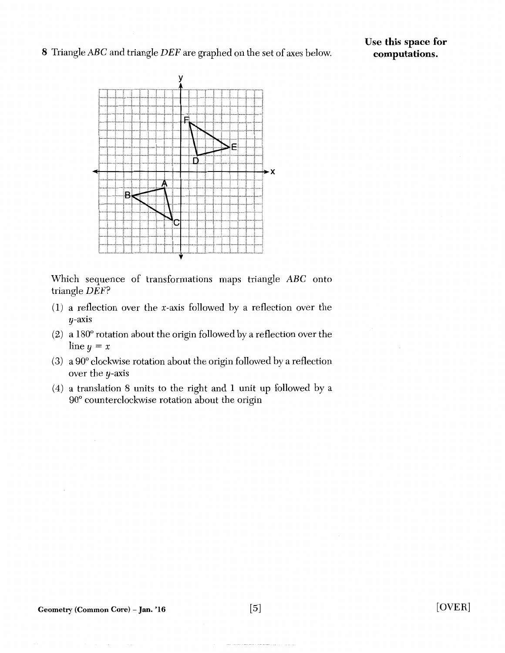8 Triangle ABC and triangle DEF are graphed on the set of axes below.



Which sequence of transformations maps triangle ABC onto triangle DEF?

- (1) a reflection over the x-axis followed by a reflection over the y-axis
- (2) a 180° rotation about the origin followed by a reflection over the line  $y = x$
- (3) a  $90^\circ$  clockwise rotation about the origin followed by a reflection over the y-axis
- (4) a translation 8 units to the right and 1 unit up followed by a 90° counterclockwise rotation about the origin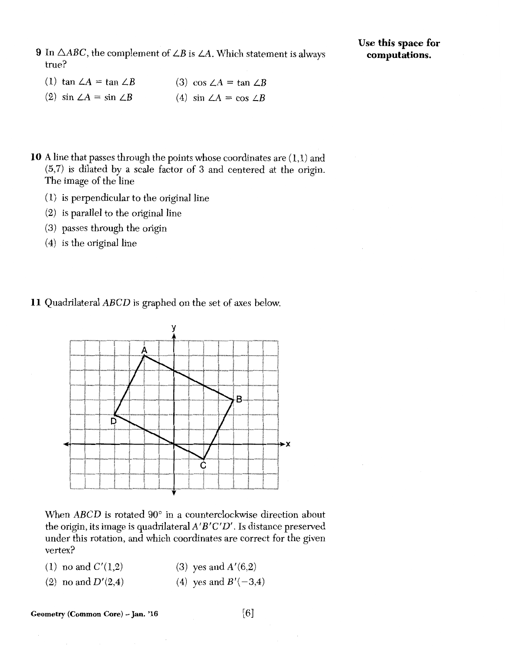**9** In  $\triangle ABC$ , the complement of  $\angle B$  is  $\angle A$ . Which statement is always true?

- (1)  $\tan \angle A = \tan \angle B$ (3) cos  $\angle A = \tan \angle B$
- (2)  $\sin \angle A = \sin \angle B$ (4)  $\sin \angle A = \cos \angle B$
- 10 A line that passes through the points whose coordinates are  $(1,1)$  and (5,7) is dilated by a scale factor of 3 and centered at the origin. The image of the line
	- ( 1) is perpendicular to the original line
	- (2) is parallel to the original line
	- ( 3) passes through the origin
	- (4) is the original line





When *ABCD* is rotated 90° in a counterclockwise direction about the origin, its image is quadrilateral  $A'B'C'D'$ . Is distance preserved under this rotation, and which coordinates are correct for the given vertex?

- (1) no and  $C'(1,2)$
- (3) yes and  $A'(6,2)$ (4) yes and  $B'(-3,4)$
- $(2)$  no and  $D'(2,4)$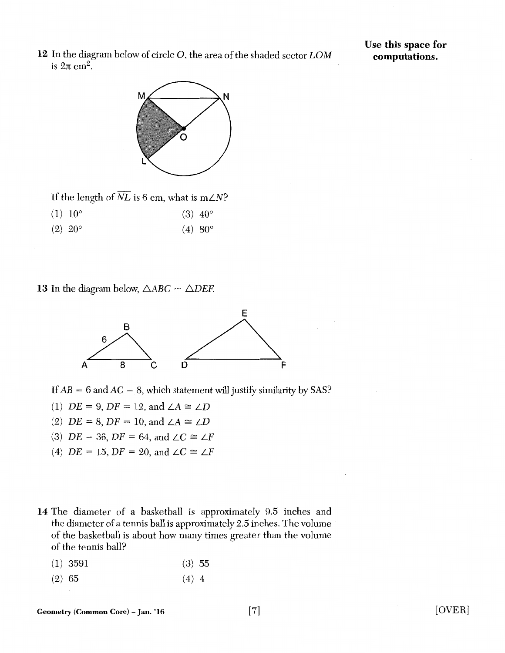12 In the diagram below of circle 0, the area of the shaded sector *LOM*  is  $2\pi$  cm<sup>2</sup>.

Use this space for computations.



If the length of  $\overline{NL}$  is 6 cm, what is  $m\angle N$ ?

| $(1) 10^{\circ}$ | $(3)$ 40 $^{\circ}$ |
|------------------|---------------------|
|------------------|---------------------|

 $(2)$  20 $^{\circ}$  $(4)80^{\circ}$ 

13 In the diagram below,  $\triangle ABC \sim \triangle DEF$ .



If  $AB = 6$  and  $AC = 8$ , which statement will justify similarity by SAS?

- (1)  $DE = 9$ ,  $DF = 12$ , and  $\angle A \cong \angle D$
- (2)  $DE = 8$ ,  $DF = 10$ , and  $\angle A \cong \angle D$
- (3)  $DE = 36$ ,  $DF = 64$ , and  $\angle C \cong \angle F$
- (4)  $DE = 15$ ,  $DF = 20$ , and  $\angle C \cong \angle F$
- 14 The diameter of a basketball is approximately 9.5 inches and the diameter of a tennis ball is approximately 2.5 inches. The volume of the basketball is about how many times greater than the volume of the tennis ball?
	- (1) 3591 (3) 55
	- (2) 65 (4) 4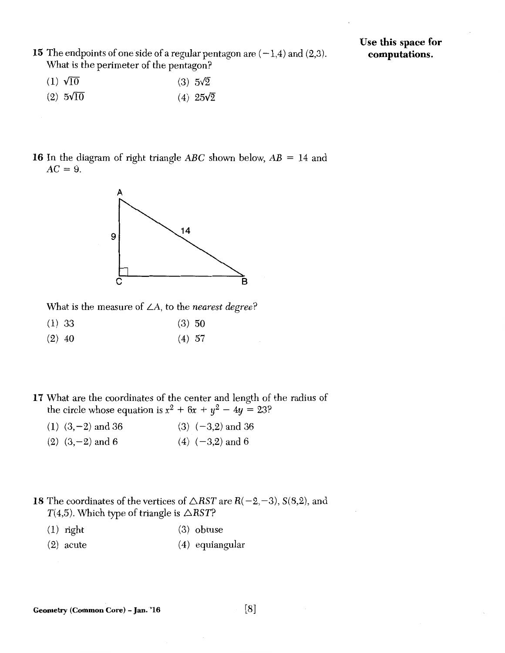- Use this space for computations.
- 15 The endpoints of one side of a regular pentagon are  $(-1,4)$  and  $(2,3)$ . What is the perimeter of the pentagon?
	- (1)  $\sqrt{10}$  (3)  $5\sqrt{2}$
	- (2)  $5\sqrt{10}$  (4)  $25\sqrt{2}$
- 16 In the diagram of right triangle *ABC* shown below, *AB* = 14 and  $AC = 9$ .



What is the measure of *LA,* to the *nearest degree?* 

- (1) 33 (3) 50
- $(2)$  40 (4) 57
- 17 What are the coordinates of the center and length of the radius of the circle whose equation is  $x^2 + 6x + y^2 - 4y = 23$ ?
	- (1)  $(3, -2)$  and 36 (3)  $(-3,2)$  and 36
	- (2)  $(3, -2)$  and 6  $(4) (-3,2)$  and 6
- 18 The coordinates of the vertices of  $\triangle RST$  are  $R(-2, -3)$ ,  $S(8,2)$ , and  $T(4,5)$ . Which type of triangle is  $\triangle RST$ ?
	- (1) right (3) obtuse
	- (2) acute (4) equiangular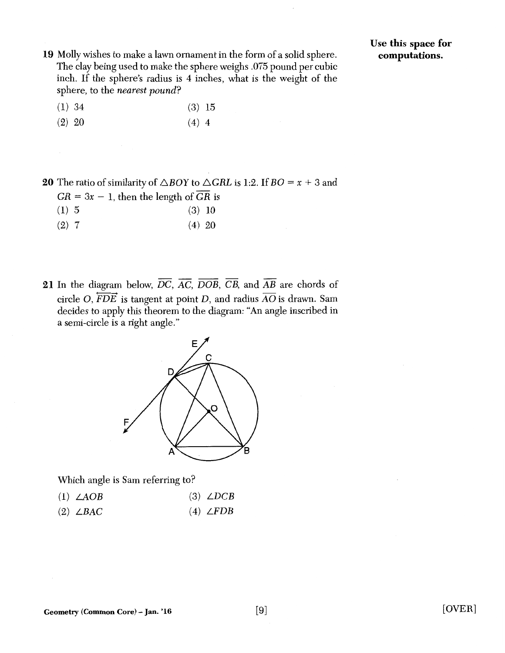- 19 Molly wishes to make a lawn ornament in the form of a solid sphere. The clay being used to make the sphere weighs .075 pound per cubic inch. If the sphere's radius is 4 inches, what is the weight of the sphere, to the *nearest pound?* 
	- (1) 34 (3) 15
	- (2) 20  $(4)$  4

20 The ratio of similarity of  $\triangle BOY$  to  $\triangle GRL$  is 1:2. If  $BO = x + 3$  and  $GR = 3x - 1$ , then the length of  $\overline{GR}$  is

| (1)5 |  | $(3)$ 10 |  |
|------|--|----------|--|
|      |  |          |  |

- (2) 7 (4) 20
- 21 In the diagram below,  $\overline{DC}$ ,  $\overline{AC}$ ,  $\overline{DOB}$ ,  $\overline{CB}$ , and  $\overline{AB}$  are chords of circle 0, *FDE* is tangent at point D, and radius *AO* is drawn. Sam decides to apply this theorem to the diagram: "An angle inscribed in a semi-circle is a right angle."

![](_page_8_Figure_8.jpeg)

Which angle is Sam referring to?

|        | $(1)$ $\angle AOB$ | $(3)$ $\angle DCB$                                                                                         |
|--------|--------------------|------------------------------------------------------------------------------------------------------------|
| $\sim$ | $\cdots$           | $\left( \begin{array}{ccc} 1 & \cdot & \cdot & \cdot \\ \cdot & \cdot & \cdot & \cdot \end{array} \right)$ |

| (2) $\angle BAC$ |  | $(4)$ $\angle FDB$ |
|------------------|--|--------------------|
|------------------|--|--------------------|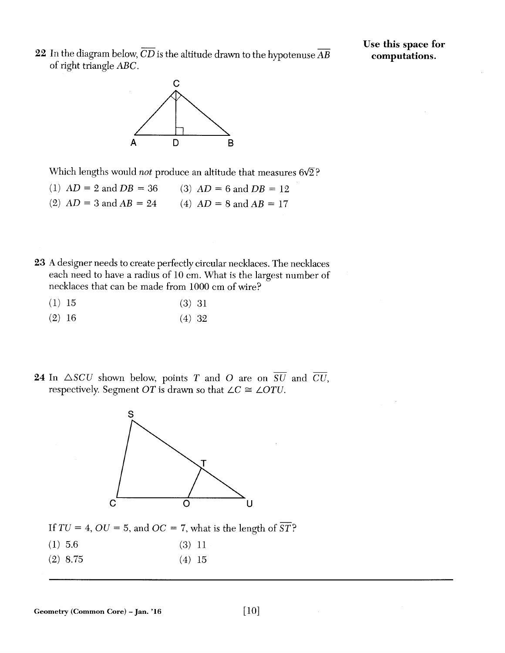Use **this** space **for computations.** 

22 In the diagram below,  $\overline{CD}$  is the altitude drawn to the hypotenuse  $\overline{AB}$ of right triangle ABC.

![](_page_9_Figure_2.jpeg)

Which lengths would *not* produce an altitude that measures 6 $\sqrt{2}$ ?

- (1)  $AD = 2$  and  $DB = 36$  (3)  $AD = 6$  and  $DB = 12$
- (2)  $AD = 3$  and  $AB = 24$  (4)  $AD = 8$  and  $AB = 17$
- 23 A designer needs to create perfectly circular necklaces. The necklaces each need to have a radius of 10 cm. What is the largest number of necklaces that can be made from 1000 cm of wire?
	- (1) 15 (3) 31
	- (2) 16 (4) 32
- 24 In  $\triangle$ *SCU* shown below, points *T* and *O* are on  $\overline{SU}$  and  $\overline{CU}$ , respectively. Segment *OT* is drawn so that  $\angle C \cong \angle OTU$ .

![](_page_9_Figure_10.jpeg)

If  $TU = 4$ ,  $OU = 5$ , and  $OC = 7$ , what is the length of  $\overline{ST}$ ?

- (1) 5.6 (3) 11
- (2) 8.75 (4) 15

Geometry (Common Core) - Jan. '16  $[10]$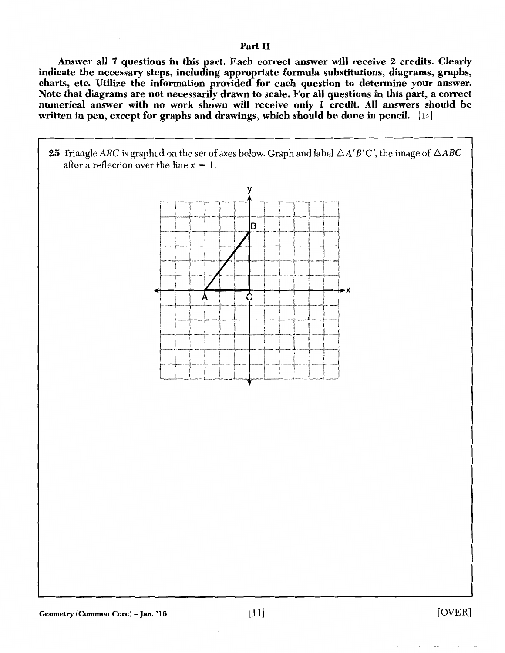## Part II

Answer all 7 questions in this part. Each correct answer will receive 2 credits. Clearly indicate the necessary steps, including appropriate formula substitutions, diagrams, graphs, charts, etc. Utilize the information provided for each question to determine your answer. Note that diagrams are not necessarily drawn to scale. For all questions in this part, a correct numerical answer with no work shown will receive only I credit. All answers should be written in pen, except for graphs and drawings, which should be done in pencil. [14]

![](_page_10_Figure_2.jpeg)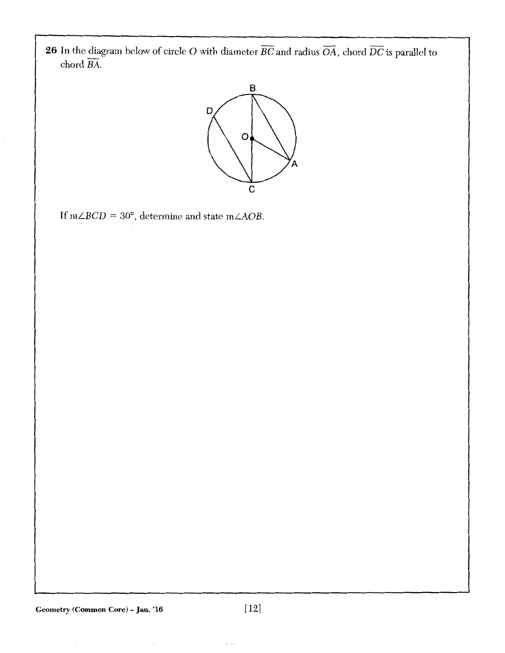**26** In the diagram below of circle O with diameter  $\overline{BC}$  and radius  $\overline{OA}$ , chord  $\overline{DC}$  is parallel to chord BA.

![](_page_11_Figure_1.jpeg)

If  $m\angle BCD = 30^{\circ}$ , determine and state  $m\angle AOB$ .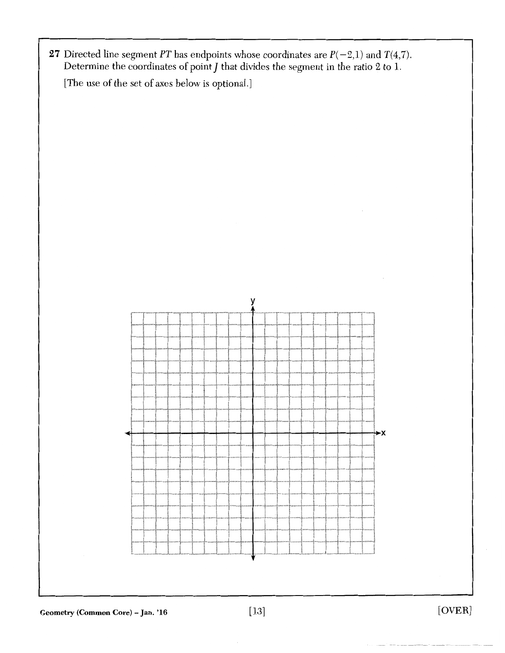![](_page_12_Figure_0.jpeg)

Geometry (Common Core) – Jan. '16  $[13]$   $[OVER]$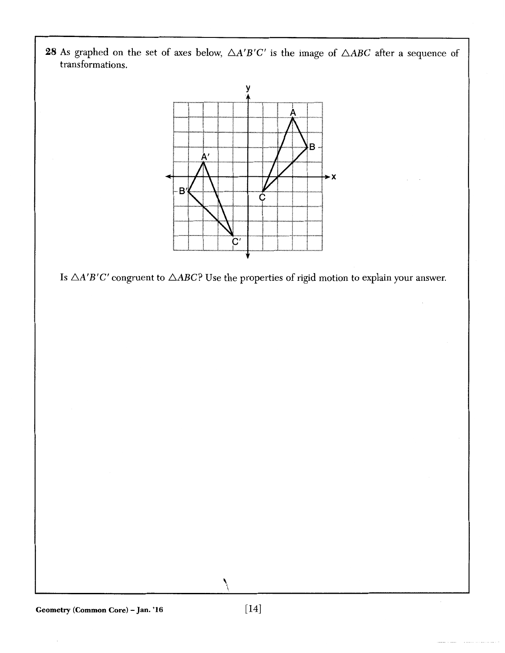28 As graphed on the set of axes below,  $\triangle A'B'C'$  is the image of  $\triangle ABC$  after a sequence of transformations.

![](_page_13_Figure_1.jpeg)

Is *LA'B'C'* congruent to *LABC?* Use the properties of rigid motion to explain your answer.

\  $\overline{ }$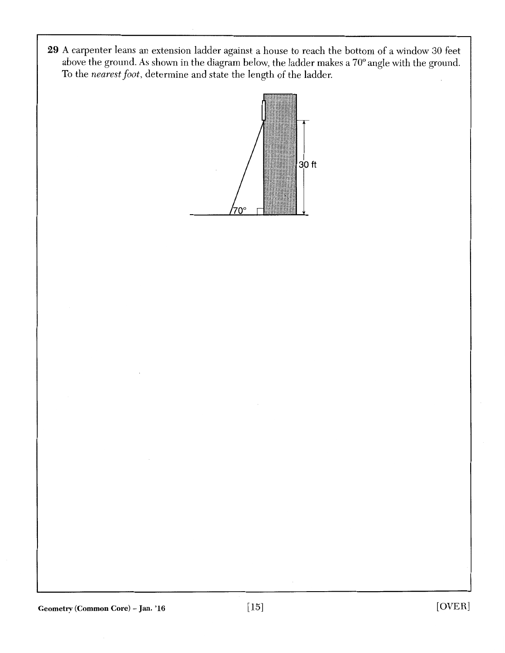**29** A carpenter leans an extension ladder against a house to reach the bottom of a window 30 feet above the ground. As shown in the diagram below, the ladder makes a 70° angle with the ground. To the *nearest foot,* determine and state the length of the ladder.

![](_page_14_Figure_1.jpeg)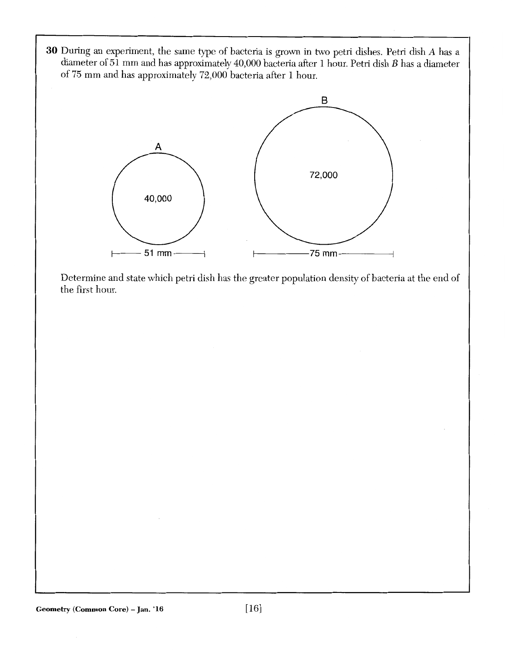30 During an experiment, the same type of bacteria is grown in two petri dishes. Petri dish *A* has a diameter of 51 mm and has approximately 40,000 bacteria after 1 hour. Petri dish B has a diameter of 75 mm and has approximately 72,000 bacteria after 1 hour.

![](_page_15_Figure_1.jpeg)

Determine and state which petri dish has the greater population density of bacteria at the end of the first hour.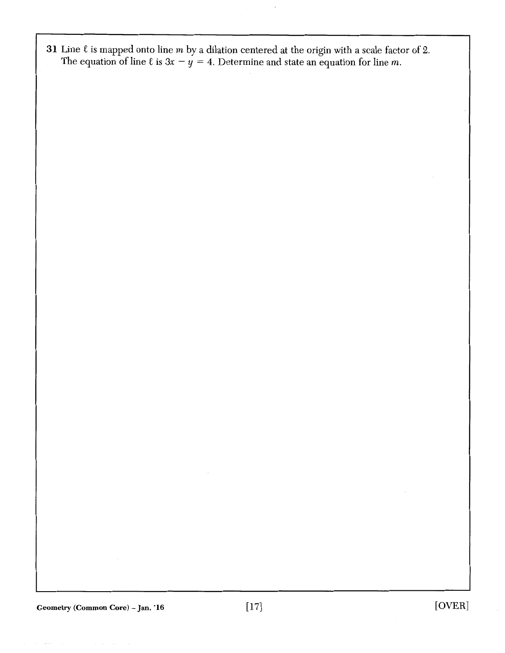31 Line  $\ell$  is mapped onto line  $m$  by a dilation centered at the origin with a scale factor of 2. The equation of line  $\ell$  is  $3x - y = 4$ . Determine and state an equation for line *m*.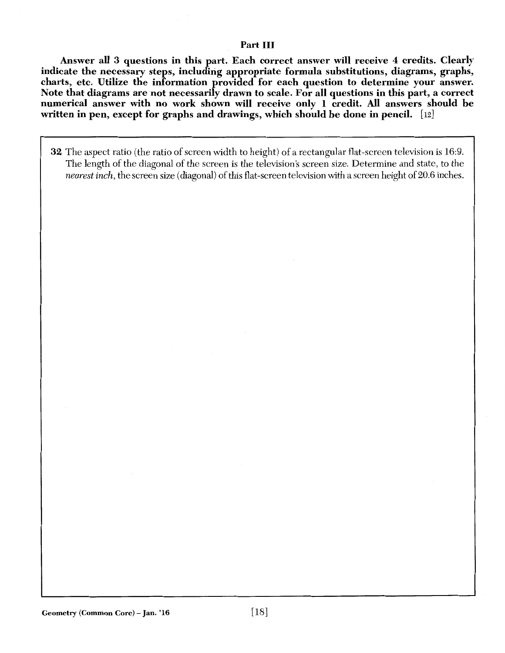## Part III

Answer all 3 questions in this part. Each correct answer will receive 4 credits. Clearly indicate the necessary steps, including appropriate formula substitutions, diagrams, graphs, charts, etc. Utilize the information provided for each question to determine your answer. Note that diagrams are not necessarily drawn to scale. For all questions in this part, a correct numerical answer with no work shown will receive only I credit. All answers should he written in pen, except for graphs and drawings, which should be done in pencil. [12]

32 The aspect ratio (the ratio of screen width to height) of a rectangular flat-screen television is 16:9. The length of the diagonal of the screen is the television's screen size. Determine and state, to the *nearest inch*, the screen size (diagonal) of this flat-screen television with a screen height of 20.6 inches.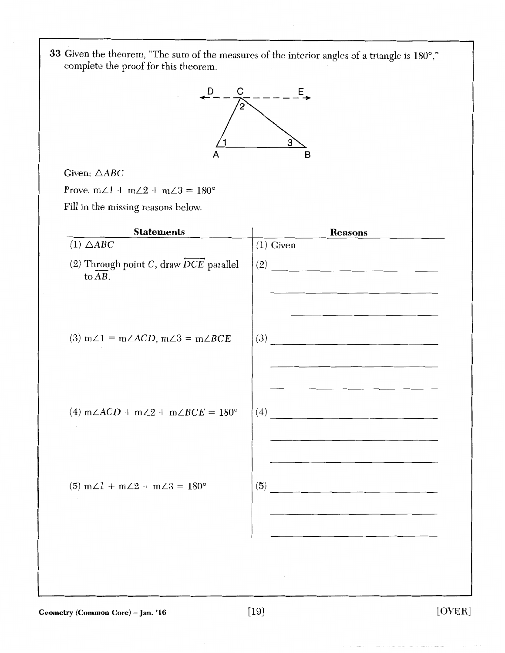33 Given the theorem, "The sum of the measures of the interior angles of a triangle is 180°," complete the proof for this theorem.

![](_page_18_Figure_1.jpeg)

Given:  $\triangle ABC$ 

Prove:  $m\angle 1 + m\angle 2 + m\angle 3 = 180^\circ$ 

Fill in the missing reasons below.

| <b>Statements</b>                                                | <b>Reasons</b>                                                                                                                                                                                                                                                                                                                                                                                                                                                  |
|------------------------------------------------------------------|-----------------------------------------------------------------------------------------------------------------------------------------------------------------------------------------------------------------------------------------------------------------------------------------------------------------------------------------------------------------------------------------------------------------------------------------------------------------|
| $(1) \triangle ABC$                                              | $(1)$ Given                                                                                                                                                                                                                                                                                                                                                                                                                                                     |
| (2) Through point C, draw $\overline{DCE}$ parallel<br>to $AB$ . | (2)<br><u> 1980 - Johann John Harry Harry Harry Harry Harry Harry Harry Harry Harry Harry Harry Harry Harry Harry Harry H</u>                                                                                                                                                                                                                                                                                                                                   |
| (3) $m\angle 1 = m\angle ACD$ , $m\angle 3 = m\angle BCE$        | $(3) \qquad \qquad \overbrace{\qquad \qquad }$<br><u> 1989 - Johann John Stein, markin fan it ferstjer fan it ferstjer fan it ferstjer fan it ferstjer fan it ferstjer</u>                                                                                                                                                                                                                                                                                      |
| (4) $m\angle ACD + m\angle 2 + m\angle BCE = 180^\circ$          | $\qquad \qquad (4) \qquad \qquad \overbrace{\qquad \qquad }^{(4)} \qquad \qquad (4) \qquad \qquad (4) \qquad \qquad (4) \qquad \qquad (4) \qquad \qquad (4) \qquad \qquad (4) \qquad \qquad (4) \qquad \qquad (4) \qquad \qquad (4) \qquad \qquad (4) \qquad \qquad (4) \qquad \qquad (4) \qquad \qquad (4) \qquad \qquad (4) \qquad \qquad (4) \qquad \qquad (4) \qquad \qquad (4) \qquad \qquad (4) \qquad \qquad (4) \qquad \qquad (4) \qquad \qquad (4) \q$ |
| $(5)$ m $\angle$ 1 + m $\angle$ 2 + m $\angle$ 3 = 180°          | $(5)$                                                                                                                                                                                                                                                                                                                                                                                                                                                           |
|                                                                  | <u> 1989 - John Stein, mars et al. (</u>                                                                                                                                                                                                                                                                                                                                                                                                                        |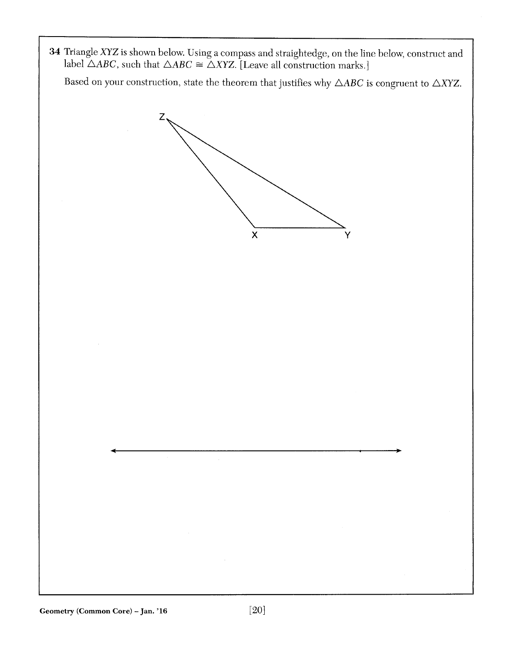![](_page_19_Figure_0.jpeg)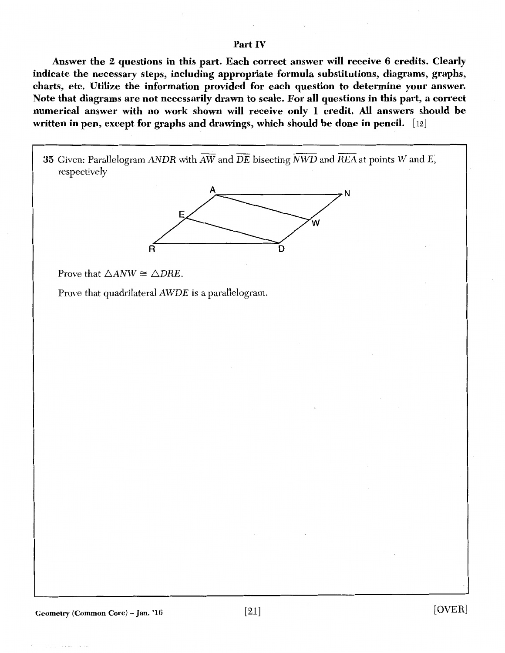## Part IV

Answer the 2 questions in this part. Each correct answer will receive 6 credits. Clearly indicate the necessary steps, including appropriate formula substitutions, diagrams, graphs, charts, etc. Utilize the information provided for each question to determine your answer. Note that diagrams are not necessarily drawn to scale. For all questions in this part, a correct numerical answer with no work shown will receive only 1 credit. All answers should be written in pen, except for graphs and drawings, which should be done in pencil. [12]

![](_page_20_Figure_2.jpeg)